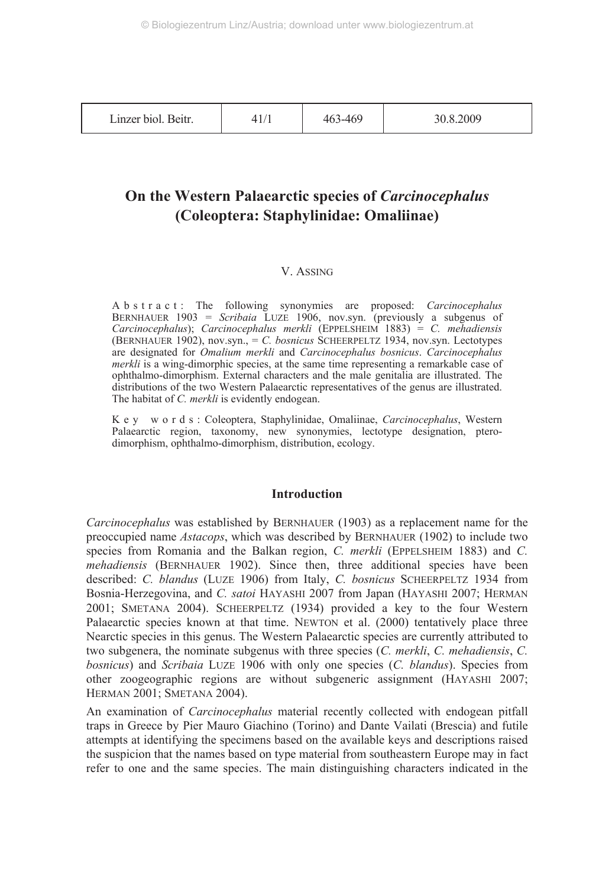| Linzer biol. Beitr. | 41/1 | 463-469 | 30.8.2009 |
|---------------------|------|---------|-----------|
|---------------------|------|---------|-----------|

## **On the Western Palaearctic species of** *Carcinocephalus* **(Coleoptera: Staphylinidae: Omaliinae)**

## V. ASSING

A b s t r a c t : The following synonymies are proposed: *Carcinocephalus* BERNHAUER 1903 = *Scribaia* LUZE 1906, nov.syn. (previously a subgenus of *Carcinocephalus*); *Carcinocephalus merkli* (EPPELSHEIM 1883) = *C. mehadiensis* (BERNHAUER 1902), nov.syn., = *C. bosnicus* SCHEERPELTZ 1934, nov.syn. Lectotypes are designated for *Omalium merkli* and *Carcinocephalus bosnicus*. *Carcinocephalus merkli* is a wing-dimorphic species, at the same time representing a remarkable case of ophthalmo-dimorphism. External characters and the male genitalia are illustrated. The distributions of the two Western Palaearctic representatives of the genus are illustrated. The habitat of *C. merkli* is evidently endogean.

K e y w o r d s : Coleoptera, Staphylinidae, Omaliinae, *Carcinocephalus*, Western Palaearctic region, taxonomy, new synonymies, lectotype designation, pterodimorphism, ophthalmo-dimorphism, distribution, ecology.

## **Introduction**

*Carcinocephalus* was established by BERNHAUER (1903) as a replacement name for the preoccupied name *Astacops*, which was described by BERNHAUER (1902) to include two species from Romania and the Balkan region, *C. merkli* (EPPELSHEIM 1883) and *C. mehadiensis* (BERNHAUER 1902). Since then, three additional species have been described: *C. blandus* (LUZE 1906) from Italy, *C. bosnicus* SCHEERPELTZ 1934 from Bosnia-Herzegovina, and *C. satoi* HAYASHI 2007 from Japan (HAYASHI 2007; HERMAN 2001; SMETANA 2004). SCHEERPELTZ (1934) provided a key to the four Western Palaearctic species known at that time. NEWTON et al. (2000) tentatively place three Nearctic species in this genus. The Western Palaearctic species are currently attributed to two subgenera, the nominate subgenus with three species (*C. merkli*, *C. mehadiensis*, *C. bosnicus*) and *Scribaia* LUZE 1906 with only one species (*C. blandus*). Species from other zoogeographic regions are without subgeneric assignment (HAYASHI 2007; HERMAN 2001; SMETANA 2004).

An examination of *Carcinocephalus* material recently collected with endogean pitfall traps in Greece by Pier Mauro Giachino (Torino) and Dante Vailati (Brescia) and futile attempts at identifying the specimens based on the available keys and descriptions raised the suspicion that the names based on type material from southeastern Europe may in fact refer to one and the same species. The main distinguishing characters indicated in the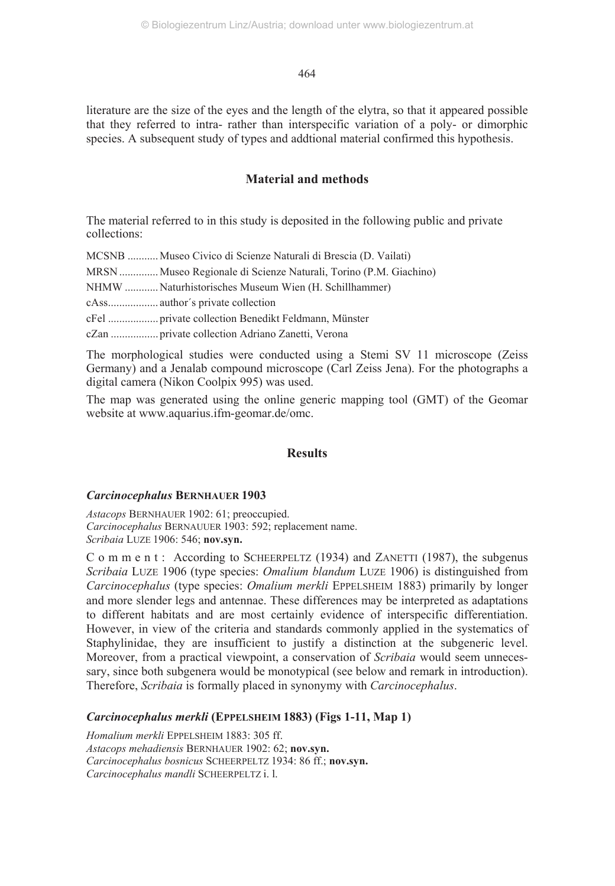literature are the size of the eyes and the length of the elytra, so that it appeared possible that they referred to intra- rather than interspecific variation of a poly- or dimorphic species. A subsequent study of types and addtional material confirmed this hypothesis.

## **Material and methods**

The material referred to in this study is deposited in the following public and private collections:

MCSNB ........... Museo Civico di Scienze Naturali di Brescia (D. Vailati)

MRSN .............. Museo Regionale di Scienze Naturali, Torino (P.M. Giachino)

NHMW ............ Naturhistorisches Museum Wien (H. Schillhammer)

cAss.................. author´s private collection

cFel .................. private collection Benedikt Feldmann, Münster

cZan ................. private collection Adriano Zanetti, Verona

The morphological studies were conducted using a Stemi SV 11 microscope (Zeiss Germany) and a Jenalab compound microscope (Carl Zeiss Jena). For the photographs a digital camera (Nikon Coolpix 995) was used.

The map was generated using the online generic mapping tool (GMT) of the Geomar website at www.aquarius.ifm-geomar.de/omc.

## **Results**

## *Carcinocephalus* **BERNHAUER 1903**

*Astacops* BERNHAUER 1902: 61; preoccupied. *Carcinocephalus* BERNAUUER 1903: 592; replacement name. *Scribaia* LUZE 1906: 546; **nov.syn.**

C o m m e n t : According to SCHEERPELTZ (1934) and ZANETTI (1987), the subgenus *Scribaia* LUZE 1906 (type species: *Omalium blandum* LUZE 1906) is distinguished from *Carcinocephalus* (type species: *Omalium merkli* EPPELSHEIM 1883) primarily by longer and more slender legs and antennae. These differences may be interpreted as adaptations to different habitats and are most certainly evidence of interspecific differentiation. However, in view of the criteria and standards commonly applied in the systematics of Staphylinidae, they are insufficient to justify a distinction at the subgeneric level. Moreover, from a practical viewpoint, a conservation of *Scribaia* would seem unnecessary, since both subgenera would be monotypical (see below and remark in introduction). Therefore, *Scribaia* is formally placed in synonymy with *Carcinocephalus*.

## *Carcinocephalus merkli* **(EPPELSHEIM 1883) (Figs 1-11, Map 1)**

*Homalium merkli* EPPELSHEIM 1883: 305 ff. *Astacops mehadiensis* BERNHAUER 1902: 62; **nov.syn.** *Carcinocephalus bosnicus* SCHEERPELTZ 1934: 86 ff.; **nov.syn.** *Carcinocephalus mandli* SCHEERPELTZ i. l.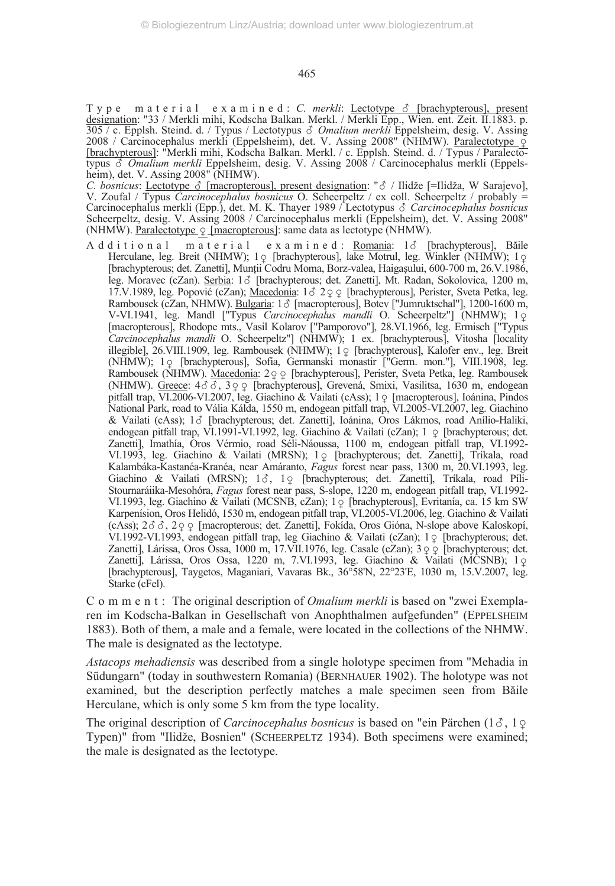T y p e m a t e r i a l e x a m i n e d : *C. merkli*: Lectotype  $\delta$  [brachypterous], present designation: "33 / Merkli mihi, Kodscha Balkan. Merkl. / Merkli Epp., Wien. ent. Zeit. II.1883. p. 305 / c. Epplsh. Steind. d. / Typus / Lectotypus *Omalium merkli* Eppelsheim, desig. V. Assing 2008 / Carcinocephalus merkli (Eppelsheim), det. V. Assing 2008" (NHMW). <u>Paralectotype ♀</u><br>[<u>brachypterous]</u>: "Merkli mihi, Kodscha Balkan. Merkl. / c. Epplsh. Steind. d. / Typus / Paralectotypus *Omalium merkli* Eppelsheim, desig. V. Assing 2008 / Carcinocephalus merkli (Eppelsheim), det. V. Assing 2008" (NHMW).

*C. bosnicus*: <u>Lectotype  $\delta$  [macropterous], present designation</u>: " $\delta$  / Ilidže [=Ilidža, W Sarajevo], V. Zoufal / Typus *Carcinocephalus bosnicus* O. Scheerpeltz / ex coll. Scheerpeltz / probably = Carcinocephalus merkli (Epp.), det. M. K. Thayer 1989 / Lectotypus *Carcinocephalus bosnicus* Scheerpeltz, desig. V. Assing 2008 / Carcinocephalus merkli (Eppelsheim), det. V. Assing 2008" (NHMW). <u>Paralectotype  $\frac{\alpha}{2}$  [macropterous</u>]: same data as lectotype (NHMW).

A d d i t i o n a l m a t e r i a l e x a m i n e d : Romania: 1 d [brachypterous], Băile Herculane, leg. Breit (NHMW); 1 c [brachypterous], lake Motrul, leg. Winkler (NHMW); 1 c [brachypterous; det. Zanetti], Munţii Codru Moma, Borz-valea, Haigaşului, 600-700 m, 26.V.1986, leg. Moravec (cZan). Serbia: 1 c [brachypterous; det. Zanetti], Mt. Radan, Sokolovica, 1200 m, 17.V.1989, leg. Popović (cZan); Macedonia:  $1 \delta$  2 $\varphi$  (brachypterous), Perister, Sveta Petka, leg. Rambousek (cZan, NHMW). Bulgaria: 13 [macropterous], Botev ["Jumruktschal"], 1200-1600 m, V-VI.1941, leg. Mandl ["Typus *Carcinocephalus mandli* O. Scheerpeltz"] (NHMW); 1- [macropterous], Rhodope mts., Vasil Kolarov ["Pamporovo"], 28.VI.1966, leg. Ermisch ["Typus *Carcinocephalus mandli* O. Scheerpeltz"] (NHMW); 1 ex. [brachypterous], Vitosha [locality illegible], 26. VIII. 1909, leg. Rambousek (NHMW); 1 ° [brachypterous], Kalofer env., leg. Breit (NHMW), 10 [brachypterous], Sofia, Germanski monastir ["Germ. mon."], VIII.1908, leg. Rambousek (NHMW). Macedonia: 2 º º [brachypterous], Perister, Sveta Petka, leg. Rambousek (NHMW). Greece: 43 3, 3 9 9 [brachypterous], Grevená, Smixi, Vasilitsa, 1630 m, endogean pitfall trap, VI.2006-VI.2007, leg. Giachino & Vailati (cAss); 1 \times [macropterous], Ioánina, Pindos National Park, road to Vália Kálda, 1550 m, endogean pitfall trap, VI.2005-VI.2007, leg. Giachino & Vailati (cAss); 1  $\circ$  [brachypterous; det. Zanetti], Ioánina, Oros Lákmos, road Anílio-Haliki, endogean pitfall trap, VI.1991-VI.1992, leg. Giachino & Vailati (cZan); 1  $\circ$  [brachypterous; det. Zanetti], Imathía, Oros Vérmio, road Séli-Náoussa, 1100 m, endogean pitfall trap, VI.1992- VI.1993, leg. Giachino & Vailati (MRSN); 1 c [brachypterous; det. Zanetti], Tríkala, road Kalambáka-Kastanéa-Kranéa, near Amáranto, *Fagus* forest near pass, 1300 m, 20.VI.1993, leg. Giachino & Vailati (MRSN); 13, 10 [brachypterous; det. Zanetti], Tríkala, road Píli-Stournaráiika-Mesohóra, *Fagus* forest near pass, S-slope, 1220 m, endogean pitfall trap, VI.1992- VI.1993, leg. Giachino & Vailati (MCSNB, cZan); 1 o [brachypterous], Evritanía, ca. 15 km SW Karpenísion, Oros Helidó, 1530 m, endogean pitfall trap, VI.2005-VI.2006, leg. Giachino & Vailati (cAss);  $2\delta \delta$ ,  $2\varphi \varphi$  [macropterous; det. Zanetti], Fokída, Oros Gióna, N-slope above Kaloskopí, VI.1992-VI.1993, endogean pitfall trap, leg Giachino & Vailati (cZan); 1 º [brachypterous; det. Zanetti], Lárissa, Oros Ossa, 1000 m, 17.VII.1976, leg. Casale (cZan); 3 q q [brachypterous; det. Zanetti], Lárissa, Oros Ossa, 1220 m, 7.VI.1993, leg. Giachino & Vailati (MCSNB); 1 Q<br>[brachypterous], Taygetos, Maganiari, Vavaras Bk., 36°58'N, 22°23'E, 1030 m, 15.V.2007, leg. Starke (cFel).

C o m m e n t : The original description of *Omalium merkli* is based on "zwei Exemplaren im Kodscha-Balkan in Gesellschaft von Anophthalmen aufgefunden" (EPPELSHEIM 1883). Both of them, a male and a female, were located in the collections of the NHMW. The male is designated as the lectotype.

*Astacops mehadiensis* was described from a single holotype specimen from "Mehadia in Südungarn" (today in southwestern Romania) (BERNHAUER 1902). The holotype was not examined, but the description perfectly matches a male specimen seen from Băile Herculane, which is only some 5 km from the type locality.

The original description of *Carcinocephalus bosnicus* is based on "ein Pärchen  $(1\delta, 1\delta)$  Typen)" from "Ilidže, Bosnien" (SCHEERPELTZ 1934). Both specimens were examined; the male is designated as the lectotype.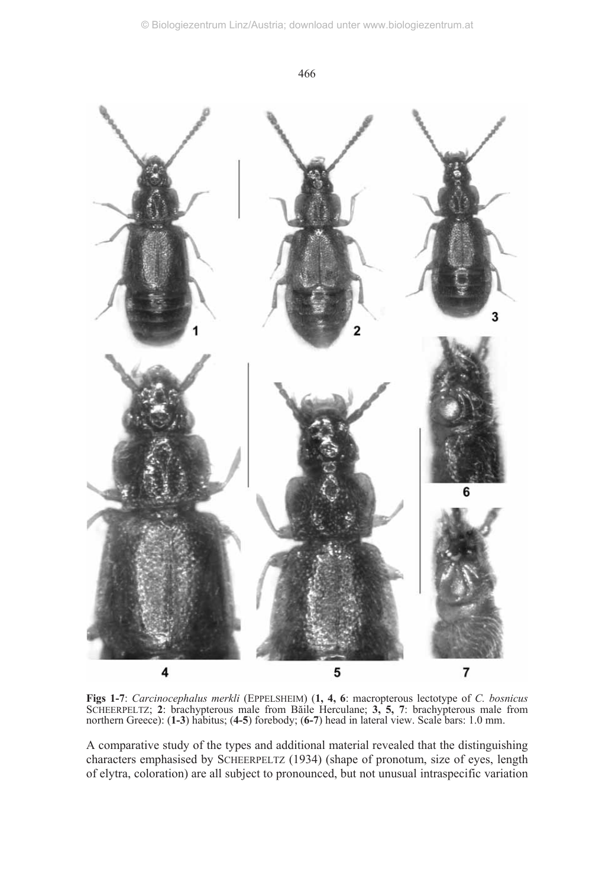

**Figs 1-7**: *Carcinocephalus merkli* (EPPELSHEIM) (**1, 4, 6**: macropterous lectotype of *C. bosnicus* SCHEERPELTZ; **2**: brachypterous male from Băile Herculane; **3, 5, 7**: brachypterous male from northern Greece): (**1-3**) habitus; (**4-5**) forebody; (**6-7**) head in lateral view. Scale bars: 1.0 mm.

A comparative study of the types and additional material revealed that the distinguishing characters emphasised by SCHEERPELTZ (1934) (shape of pronotum, size of eyes, length of elytra, coloration) are all subject to pronounced, but not unusual intraspecific variation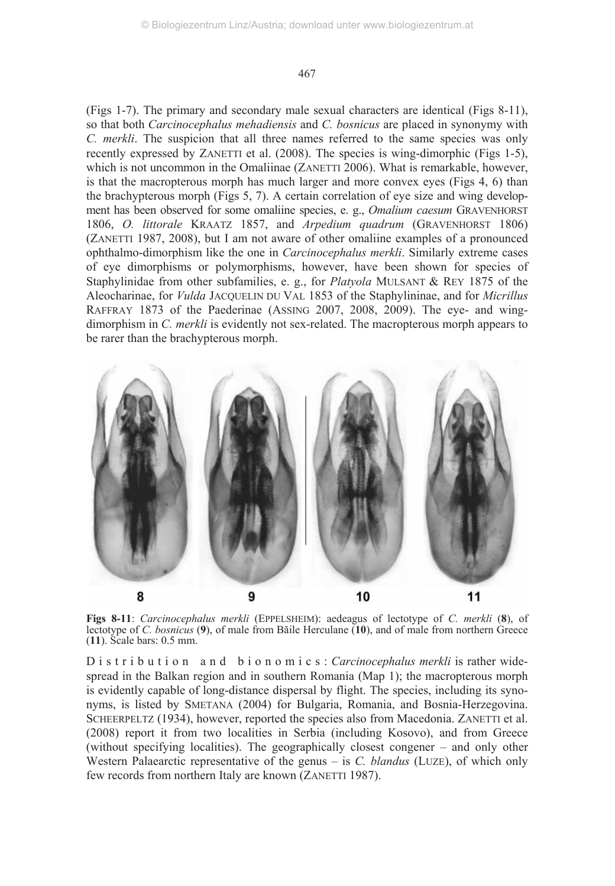(Figs 1-7). The primary and secondary male sexual characters are identical (Figs 8-11), so that both *Carcinocephalus mehadiensis* and *C. bosnicus* are placed in synonymy with *C. merkli*. The suspicion that all three names referred to the same species was only recently expressed by ZANETTI et al. (2008). The species is wing-dimorphic (Figs 1-5), which is not uncommon in the Omaliinae (ZANETTI 2006). What is remarkable, however, is that the macropterous morph has much larger and more convex eyes (Figs 4, 6) than the brachypterous morph (Figs 5, 7). A certain correlation of eye size and wing development has been observed for some omaliine species, e. g., *Omalium caesum* GRAVENHORST 1806, *O. littorale* KRAATZ 1857, and *Arpedium quadrum* (GRAVENHORST 1806) (ZANETTI 1987, 2008), but I am not aware of other omaliine examples of a pronounced ophthalmo-dimorphism like the one in *Carcinocephalus merkli*. Similarly extreme cases of eye dimorphisms or polymorphisms, however, have been shown for species of Staphylinidae from other subfamilies, e. g., for *Platyola* MULSANT & REY 1875 of the Aleocharinae, for *Vulda* JACQUELIN DU VAL 1853 of the Staphylininae, and for *Micrillus* RAFFRAY 1873 of the Paederinae (ASSING 2007, 2008, 2009). The eye- and wingdimorphism in *C. merkli* is evidently not sex-related. The macropterous morph appears to be rarer than the brachypterous morph.



**Figs 8-11**: *Carcinocephalus merkli* (EPPELSHEIM): aedeagus of lectotype of *C. merkli* (**8**), of lectotype of *C. bosnicus* (**9**), of male from Băile Herculane (**10**), and of male from northern Greece (**11**). Scale bars: 0.5 mm.

D i s t r i b u t i o n a n d b i o n o m i c s : *Carcinocephalus merkli* is rather widespread in the Balkan region and in southern Romania (Map 1); the macropterous morph is evidently capable of long-distance dispersal by flight. The species, including its synonyms, is listed by SMETANA (2004) for Bulgaria, Romania, and Bosnia-Herzegovina. SCHEERPELTZ (1934), however, reported the species also from Macedonia. ZANETTI et al. (2008) report it from two localities in Serbia (including Kosovo), and from Greece (without specifying localities). The geographically closest congener – and only other Western Palaearctic representative of the genus – is *C. blandus* (LUZE), of which only few records from northern Italy are known (ZANETTI 1987).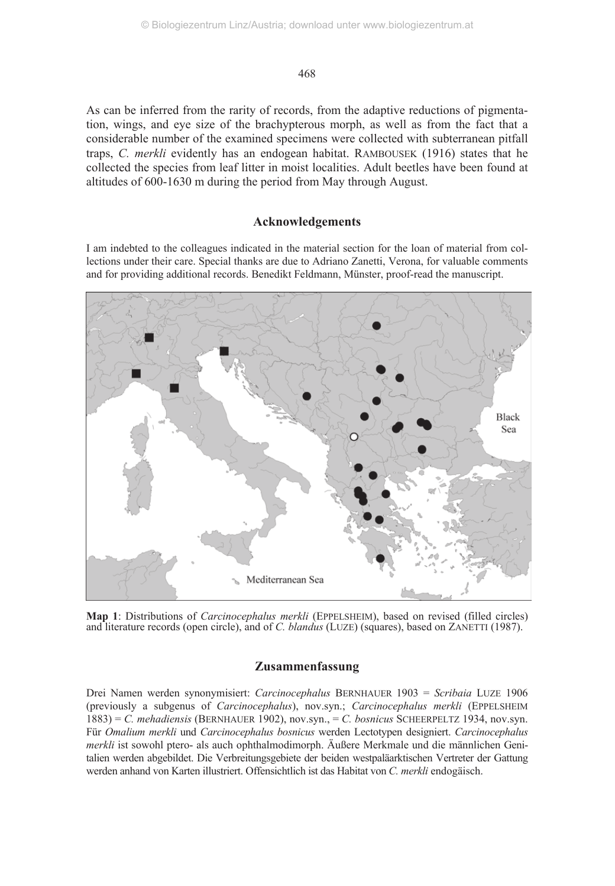As can be inferred from the rarity of records, from the adaptive reductions of pigmentation, wings, and eye size of the brachypterous morph, as well as from the fact that a considerable number of the examined specimens were collected with subterranean pitfall traps, *C. merkli* evidently has an endogean habitat. RAMBOUSEK (1916) states that he collected the species from leaf litter in moist localities. Adult beetles have been found at altitudes of 600-1630 m during the period from May through August.

## **Acknowledgements**

I am indebted to the colleagues indicated in the material section for the loan of material from collections under their care. Special thanks are due to Adriano Zanetti, Verona, for valuable comments and for providing additional records. Benedikt Feldmann, Münster, proof-read the manuscript.



**Map 1**: Distributions of *Carcinocephalus merkli* (EPPELSHEIM), based on revised (filled circles) and literature records (open circle), and of *C. blandus* (LUZE) (squares), based on ZANETTI (1987).

## **Zusammenfassung**

Drei Namen werden synonymisiert: *Carcinocephalus* BERNHAUER 1903 = *Scribaia* LUZE 1906 (previously a subgenus of *Carcinocephalus*), nov.syn.; *Carcinocephalus merkli* (EPPELSHEIM 1883) = *C. mehadiensis* (BERNHAUER 1902), nov.syn., = *C. bosnicus* SCHEERPELTZ 1934, nov.syn. Für *Omalium merkli* und *Carcinocephalus bosnicus* werden Lectotypen designiert. *Carcinocephalus merkli* ist sowohl ptero- als auch ophthalmodimorph. Äußere Merkmale und die männlichen Genitalien werden abgebildet. Die Verbreitungsgebiete der beiden westpaläarktischen Vertreter der Gattung werden anhand von Karten illustriert. Offensichtlich ist das Habitat von *C. merkli* endogäisch.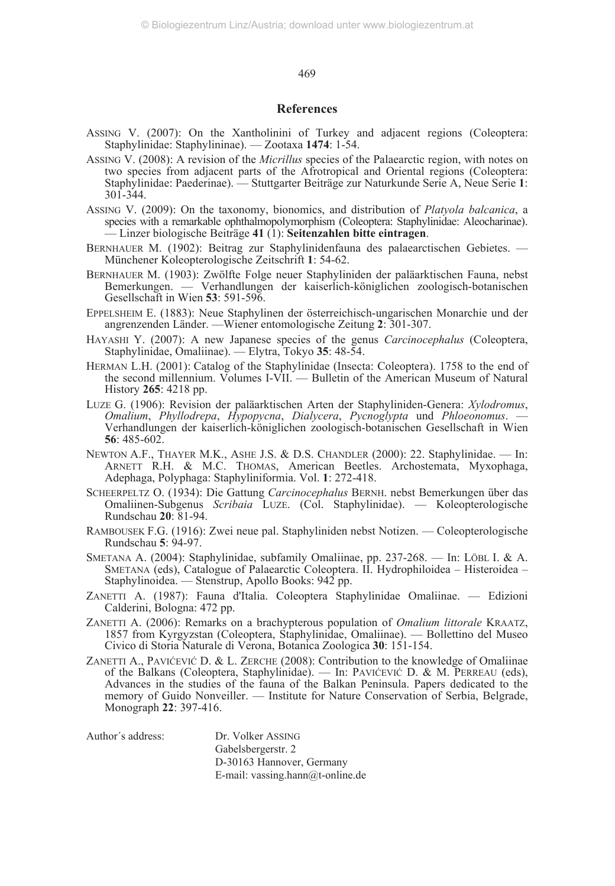### **References**

- ASSING V. (2007): On the Xantholinini of Turkey and adjacent regions (Coleoptera: Staphylinidae: Staphylininae). — Zootaxa **1474**: 1-54.
- ASSING V. (2008): A revision of the *Micrillus* species of the Palaearctic region, with notes on two species from adjacent parts of the Afrotropical and Oriental regions (Coleoptera: Staphylinidae: Paederinae). — Stuttgarter Beiträge zur Naturkunde Serie A, Neue Serie **1**: 301-344.
- ASSING V. (2009): On the taxonomy, bionomics, and distribution of *Platyola balcanica*, a species with a remarkable ophthalmopolymorphism (Coleoptera: Staphylinidae: Aleocharinae). — Linzer biologische Beiträge **41** (1): **Seitenzahlen bitte eintragen**.
- BERNHAUER M. (1902): Beitrag zur Staphylinidenfauna des palaearctischen Gebietes. Münchener Koleopterologische Zeitschrift **1**: 54-62.
- BERNHAUER M. (1903): Zwölfte Folge neuer Staphyliniden der paläarktischen Fauna, nebst Bemerkungen. — Verhandlungen der kaiserlich-königlichen zoologisch-botanischen Gesellschaft in Wien **53**: 591-596.
- EPPELSHEIM E. (1883): Neue Staphylinen der österreichisch-ungarischen Monarchie und der angrenzenden Länder. —Wiener entomologische Zeitung **2**: 301-307.
- HAYASHI Y. (2007): A new Japanese species of the genus *Carcinocephalus* (Coleoptera, Staphylinidae, Omaliinae). — Elytra, Tokyo **35**: 48-54.
- HERMAN L.H. (2001): Catalog of the Staphylinidae (Insecta: Coleoptera). 1758 to the end of the second millennium. Volumes I-VII. — Bulletin of the American Museum of Natural History **265**: 4218 pp.
- LUZE G. (1906): Revision der paläarktischen Arten der Staphyliniden-Genera: *Xylodromus*, *Omalium*, *Phyllodrepa*, *Hypopycna*, *Dialycera*, *Pycnoglypta* und *Phloeonomus*. — Verhandlungen der kaiserlich-königlichen zoologisch-botanischen Gesellschaft in Wien **56**: 485-602.
- NEWTON A.F., THAYER M.K., ASHE J.S. & D.S. CHANDLER (2000): 22. Staphylinidae. In: ARNETT R.H. & M.C. THOMAS, American Beetles. Archostemata, Myxophaga, Adephaga, Polyphaga: Staphyliniformia. Vol. **1**: 272-418.
- SCHEERPELTZ O. (1934): Die Gattung *Carcinocephalus* BERNH. nebst Bemerkungen über das Omaliinen-Subgenus *Scribaia* LUZE. (Col. Staphylinidae). — Koleopterologische Rundschau **20**: 81-94.
- RAMBOUSEK F.G. (1916): Zwei neue pal. Staphyliniden nebst Notizen. Coleopterologische Rundschau **5**: 94-97.
- SMETANA A. (2004): Staphylinidae, subfamily Omaliinae, pp. 237-268. In: LÖBL I. & A. SMETANA (eds), Catalogue of Palaearctic Coleoptera. II. Hydrophiloidea – Histeroidea – Staphylinoidea. — Stenstrup, Apollo Books: 942 pp.
- ZANETTI A. (1987): Fauna d'Italia. Coleoptera Staphylinidae Omaliinae. Edizioni Calderini, Bologna: 472 pp.
- ZANETTI A. (2006): Remarks on a brachypterous population of *Omalium littorale* KRAATZ, 1857 from Kyrgyzstan (Coleoptera, Staphylinidae, Omaliinae). Bollettino del Museo Civico di Storia Naturale di Verona, Botanica Zoologica **30**: 151-154.
- ZANETTI A., PAVIĆEVIĆ D. & L. ZERCHE (2008): Contribution to the knowledge of Omaliinae of the Balkans (Coleoptera, Staphylinidae). — In: PAVIĆEVIĆ D. & M. PERREAU (eds), Advances in the studies of the fauna of the Balkan Peninsula. Papers dedicated to the memory of Guido Nonveiller. — Institute for Nature Conservation of Serbia, Belgrade, Monograph **22**: 397-416.

| Author´s address: | Dr. Volker ASSING                |
|-------------------|----------------------------------|
|                   | Gabelsbergerstr. 2               |
|                   | D-30163 Hannover, Germany        |
|                   | E-mail: vassing.hann@t-online.de |
|                   |                                  |